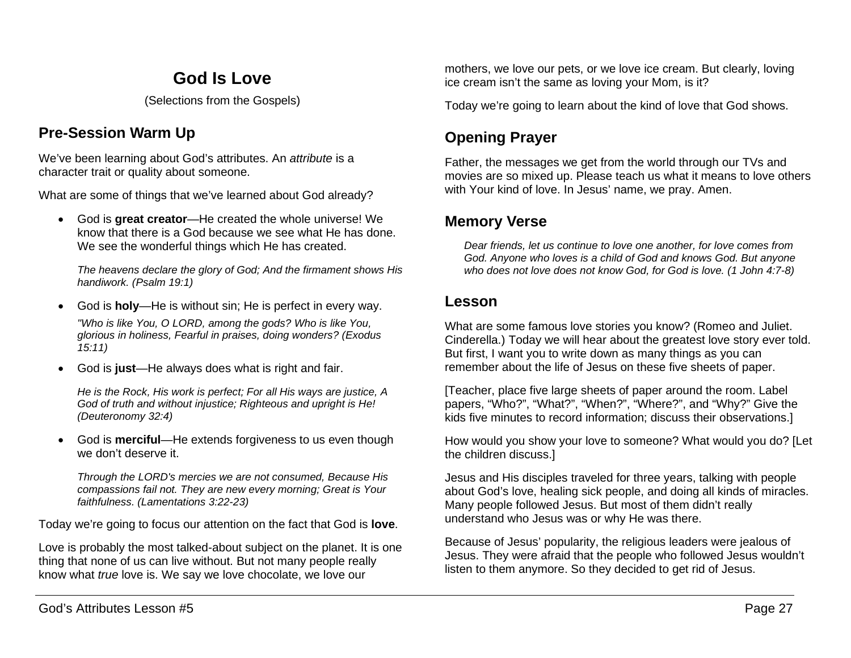# **God Is Love**

(Selections from the Gospels)

## **Pre-Session Warm Up**

We've been learning about God's attributes. An *attribute* is a character trait or quality about someone.

What are some of things that we've learned about God already?

• God is **great creator**—He created the whole universe! We know that there is a God because we see what He has done. We see the wonderful things which He has created.

*The heavens declare the glory of God; And the firmament shows His handiwork. (Psalm 19:1)*

- God is **holy**—He is without sin; He is perfect in every way. *"Who is like You, O LORD, among the gods? Who is like You, glorious in holiness, Fearful in praises, doing wonders? (Exodus 15:11)*
- God is **just**—He always does what is right and fair.

*He is the Rock, His work is perfect; For all His ways are justice, A God of truth and without injustice; Righteous and upright is He! (Deuteronomy 32:4)*

• God is **merciful**—He extends forgiveness to us even though we don't deserve it.

*Through the LORD's mercies we are not consumed, Because His compassions fail not. They are new every morning; Great is Your faithfulness. (Lamentations 3:22-23)*

Today we're going to focus our attention on the fact that God is **love**.

Love is probably the most talked-about subject on the planet. It is one thing that none of us can live without. But not many people really know what *true* love is. We say we love chocolate, we love our

mothers, we love our pets, or we love ice cream. But clearly, loving ice cream isn't the same as loving your Mom, is it?

Today we're going to learn about the kind of love that God shows.

# **Opening Prayer**

Father, the messages we get from the world through our TVs and movies are so mixed up. Please teach us what it means to love others with Your kind of love. In Jesus' name, we pray. Amen.

## **Memory Verse**

*Dear friends, let us continue to love one another, for love comes from God. Anyone who loves is a child of God and knows God. But anyone who does not love does not know God, for God is love. (1 John 4:7-8)*

### **Lesson**

What are some famous love stories you know? (Romeo and Juliet. Cinderella.) Today we will hear about the greatest love story ever told. But first, I want you to write down as many things as you can remember about the life of Jesus on these five sheets of paper.

[Teacher, place five large sheets of paper around the room. Label papers, "Who?", "What?", "When?", "Where?", and "Why?" Give the kids five minutes to record information; discuss their observations.]

How would you show your love to someone? What would you do? [Let the children discuss.]

Jesus and His disciples traveled for three years, talking with people about God's love, healing sick people, and doing all kinds of miracles. Many people followed Jesus. But most of them didn't really understand who Jesus was or why He was there.

Because of Jesus' popularity, the religious leaders were jealous of Jesus. They were afraid that the people who followed Jesus wouldn't listen to them anymore. So they decided to get rid of Jesus.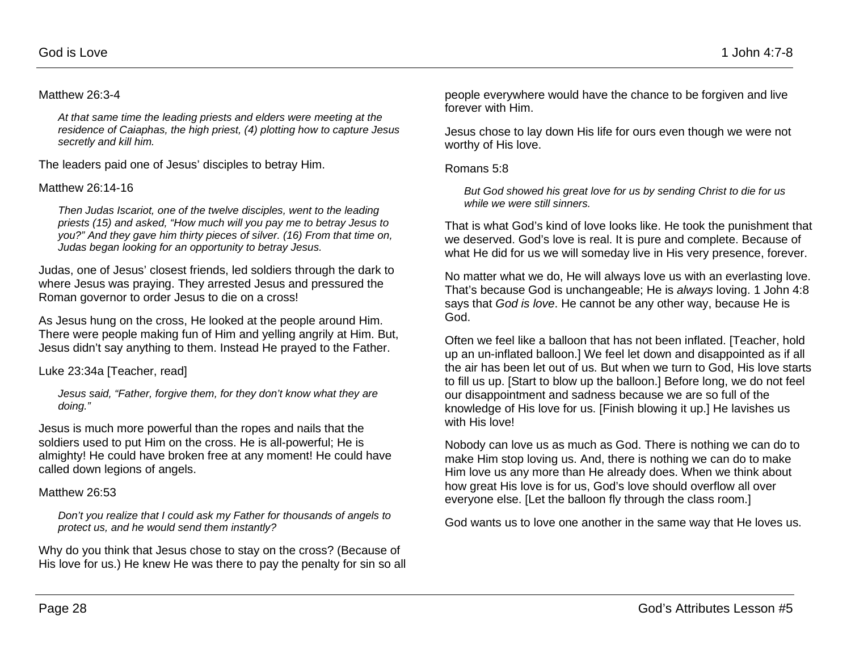#### Matthew 26:3-4

*At that same time the leading priests and elders were meeting at the residence of Caiaphas, the high priest, (4) plotting how to capture Jesus secretly and kill him.*

The leaders paid one of Jesus' disciples to betray Him.

#### Matthew 26:14-16

*Then Judas Iscariot, one of the twelve disciples, went to the leading priests (15) and asked, "How much will you pay me to betray Jesus to you?" And they gave him thirty pieces of silver. (16) From that time on, Judas began looking for an opportunity to betray Jesus.*

Judas, one of Jesus' closest friends, led soldiers through the dark to where Jesus was praying. They arrested Jesus and pressured the Roman governor to order Jesus to die on a cross!

As Jesus hung on the cross, He looked at the people around Him. There were people making fun of Him and yelling angrily at Him. But, Jesus didn't say anything to them. Instead He prayed to the Father.

Luke 23:34a [Teacher, read]

*Jesus said, "Father, forgive them, for they don't know what they are doing."* 

Jesus is much more powerful than the ropes and nails that the soldiers used to put Him on the cross. He is all-powerful; He is almighty! He could have broken free at any moment! He could have called down legions of angels.

#### Matthew 26:53

*Don't you realize that I could ask my Father for thousands of angels to protect us, and he would send them instantly?*

Why do you think that Jesus chose to stay on the cross? (Because of His love for us.) He knew He was there to pay the penalty for sin so all people everywhere would have the chance to be forgiven and live forever with Him.

Jesus chose to lay down His life for ours even though we were not worthy of His love.

Romans 5:8

*But God showed his great love for us by sending Christ to die for us while we were still sinners.*

That is what God's kind of love looks like. He took the punishment that we deserved. God's love is real. It is pure and complete. Because of what He did for us we will someday live in His very presence, forever.

No matter what we do, He will always love us with an everlasting love. That's because God is unchangeable; He is *always* loving. 1 John 4:8 says that *God is love*. He cannot be any other way, because He is God.

Often we feel like a balloon that has not been inflated. [Teacher, hold up an un-inflated balloon.] We feel let down and disappointed as if all the air has been let out of us. But when we turn to God, His love starts to fill us up. [Start to blow up the balloon.] Before long, we do not feel our disappointment and sadness because we are so full of the knowledge of His love for us. [Finish blowing it up.] He lavishes us with His love!

Nobody can love us as much as God. There is nothing we can do to make Him stop loving us. And, there is nothing we can do to make Him love us any more than He already does. When we think about how great His love is for us, God's love should overflow all over everyone else. [Let the balloon fly through the class room.]

God wants us to love one another in the same way that He loves us.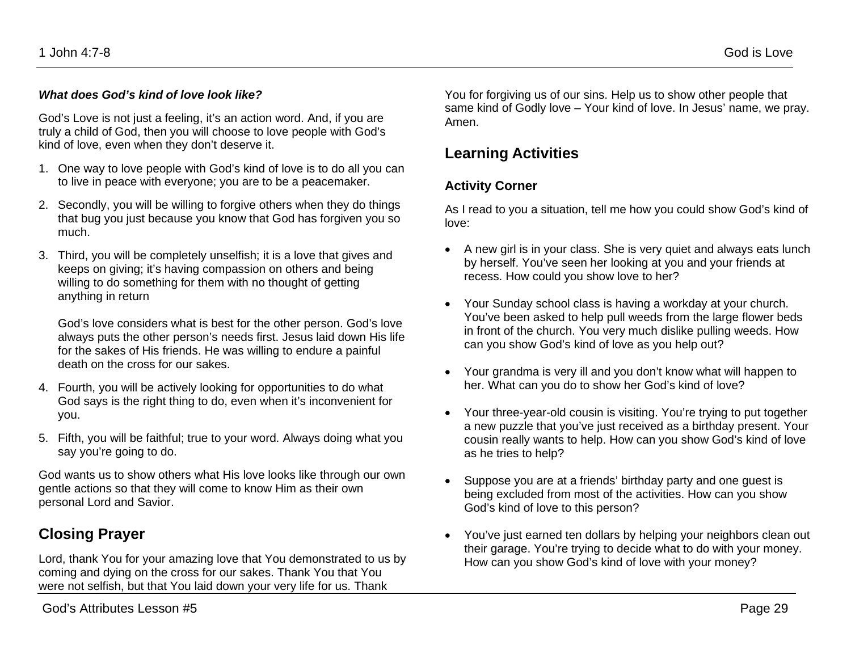#### *What does God's kind of love look like?*

God's Love is not just a feeling, it's an action word. And, if you are truly a child of God, then you will choose to love people with God's kind of love, even when they don't deserve it.

- 1. One way to love people with God's kind of love is to do all you can to live in peace with everyone; you are to be a peacemaker.
- 2. Secondly, you will be willing to forgive others when they do things that bug you just because you know that God has forgiven you so much.
- 3. Third, you will be completely unselfish; it is a love that gives and keeps on giving; it's having compassion on others and being willing to do something for them with no thought of getting anything in return

God's love considers what is best for the other person. God's love always puts the other person's needs first. Jesus laid down His life for the sakes of His friends. He was willing to endure a painful death on the cross for our sakes.

- 4. Fourth, you will be actively looking for opportunities to do what God says is the right thing to do, even when it's inconvenient for you.
- 5. Fifth, you will be faithful; true to your word. Always doing what you say you're going to do.

God wants us to show others what His love looks like through our own gentle actions so that they will come to know Him as their own personal Lord and Savior.

### **Closing Prayer**

Lord, thank You for your amazing love that You demonstrated to us by coming and dying on the cross for our sakes. Thank You that You were not selfish, but that You laid down your very life for us. Thank

You for forgiving us of our sins. Help us to show other people that same kind of Godly love – Your kind of love. In Jesus' name, we pray. Amen.

### **Learning Activities**

#### **Activity Corner**

As I read to you a situation, tell me how you could show God's kind of love:

- A new girl is in your class. She is very quiet and always eats lunch by herself. You've seen her looking at you and your friends at recess. How could you show love to her?
- Your Sunday school class is having a workday at your church. You've been asked to help pull weeds from the large flower beds in front of the church. You very much dislike pulling weeds. How can you show God's kind of love as you help out?
- Your grandma is very ill and you don't know what will happen to her. What can you do to show her God's kind of love?
- Your three-year-old cousin is visiting. You're trying to put together a new puzzle that you've just received as a birthday present. Your cousin really wants to help. How can you show God's kind of love as he tries to help?
- Suppose you are at a friends' birthday party and one guest is being excluded from most of the activities. How can you show God's kind of love to this person?
- You've just earned ten dollars by helping your neighbors clean out their garage. You're trying to decide what to do with your money. How can you show God's kind of love with your money?